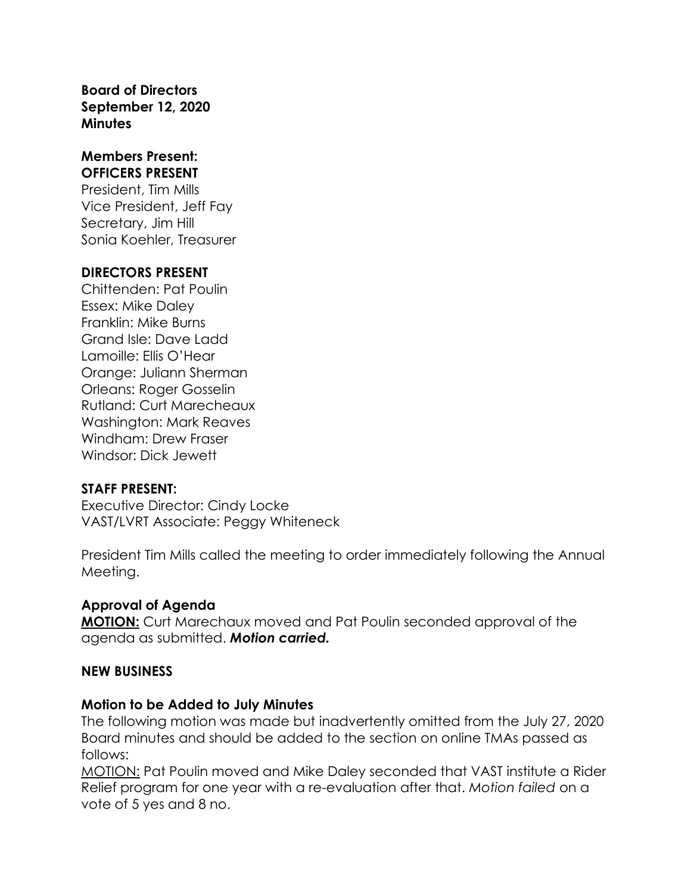**Board of Directors September 12, 2020 Minutes**

#### **Members Present: OFFICERS PRESENT**

President, Tim Mills Vice President, Jeff Fay Secretary, Jim Hill Sonia Koehler, Treasurer

#### **DIRECTORS PRESENT**

Chittenden: Pat Poulin Essex: Mike Daley Franklin: Mike Burns Grand Isle: Dave Ladd Lamoille: Ellis O'Hear Orange: Juliann Sherman Orleans: Roger Gosselin Rutland: Curt Marecheaux Washington: Mark Reaves Windham: Drew Fraser Windsor: Dick Jewett

## **STAFF PRESENT:**

Executive Director: Cindy Locke VAST/LVRT Associate: Peggy Whiteneck

President Tim Mills called the meeting to order immediately following the Annual Meeting.

# **Approval of Agenda**

**MOTION:** Curt Marechaux moved and Pat Poulin seconded approval of the agenda as submitted. *Motion carried.*

## **NEW BUSINESS**

#### **Motion to be Added to July Minutes**

The following motion was made but inadvertently omitted from the July 27, 2020 Board minutes and should be added to the section on online TMAs passed as follows:

MOTION: Pat Poulin moved and Mike Daley seconded that VAST institute a Rider Relief program for one year with a re-evaluation after that. *Motion failed* on a vote of 5 yes and 8 no.